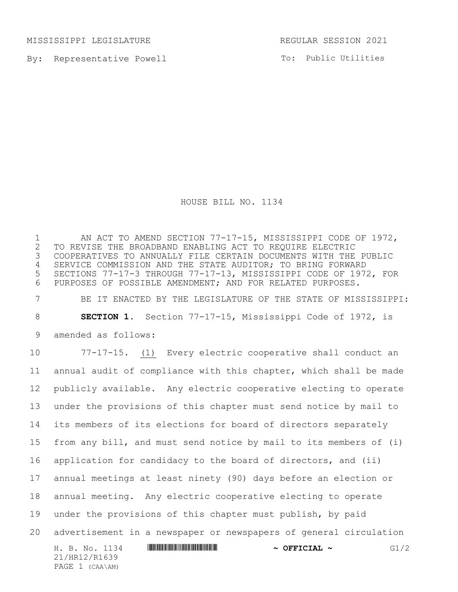MISSISSIPPI LEGISLATURE REGULAR SESSION 2021

PAGE 1 (CAA\AM)

By: Representative Powell

To: Public Utilities

HOUSE BILL NO. 1134

H. B. No. 1134 **HRING AND AND AND AND A SEFICIAL ~** G1/2 21/HR12/R1639 1 AN ACT TO AMEND SECTION 77-17-15, MISSISSIPPI CODE OF 1972,<br>2 TO REVISE THE BROADBAND ENABLING ACT TO REQUIRE ELECTRIC 2 TO REVISE THE BROADBAND ENABLING ACT TO REQUIRE ELECTRIC<br>3 COOPERATIVES TO ANNUALLY FILE CERTAIN DOCUMENTS WITH THE COOPERATIVES TO ANNUALLY FILE CERTAIN DOCUMENTS WITH THE PUBLIC SERVICE COMMISSION AND THE STATE AUDITOR; TO BRING FORWARD SECTIONS 77-17-3 THROUGH 77-17-13, MISSISSIPPI CODE OF 1972, FOR PURPOSES OF POSSIBLE AMENDMENT; AND FOR RELATED PURPOSES. BE IT ENACTED BY THE LEGISLATURE OF THE STATE OF MISSISSIPPI: **SECTION 1.** Section 77-17-15, Mississippi Code of 1972, is amended as follows: 77-17-15. (1) Every electric cooperative shall conduct an annual audit of compliance with this chapter, which shall be made publicly available. Any electric cooperative electing to operate under the provisions of this chapter must send notice by mail to its members of its elections for board of directors separately from any bill, and must send notice by mail to its members of (i) application for candidacy to the board of directors, and (ii) annual meetings at least ninety (90) days before an election or annual meeting. Any electric cooperative electing to operate under the provisions of this chapter must publish, by paid advertisement in a newspaper or newspapers of general circulation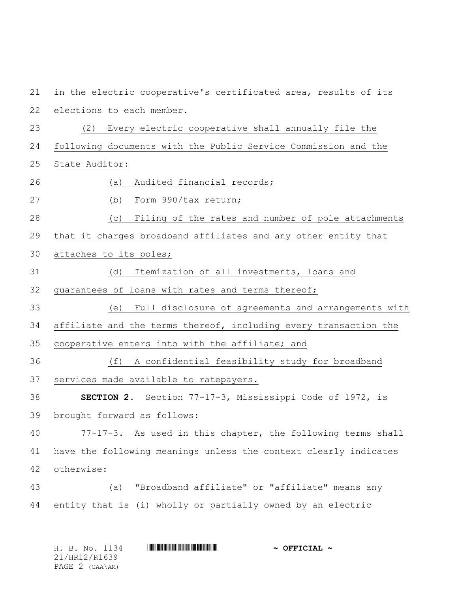in the electric cooperative's certificated area, results of its elections to each member. (2) Every electric cooperative shall annually file the following documents with the Public Service Commission and the State Auditor: (a) Audited financial records; (b) Form 990/tax return; (c) Filing of the rates and number of pole attachments that it charges broadband affiliates and any other entity that attaches to its poles; (d) Itemization of all investments, loans and guarantees of loans with rates and terms thereof; (e) Full disclosure of agreements and arrangements with affiliate and the terms thereof, including every transaction the cooperative enters into with the affiliate; and (f) A confidential feasibility study for broadband services made available to ratepayers. **SECTION 2.** Section 77-17-3, Mississippi Code of 1972, is brought forward as follows: 77-17-3. As used in this chapter, the following terms shall have the following meanings unless the context clearly indicates otherwise: (a) "Broadband affiliate" or "affiliate" means any entity that is (i) wholly or partially owned by an electric

| H. B. No. 1134  | $\sim$ OFFICIAL $\sim$ |
|-----------------|------------------------|
| 21/HR12/R1639   |                        |
| PAGE 2 (CAA\AM) |                        |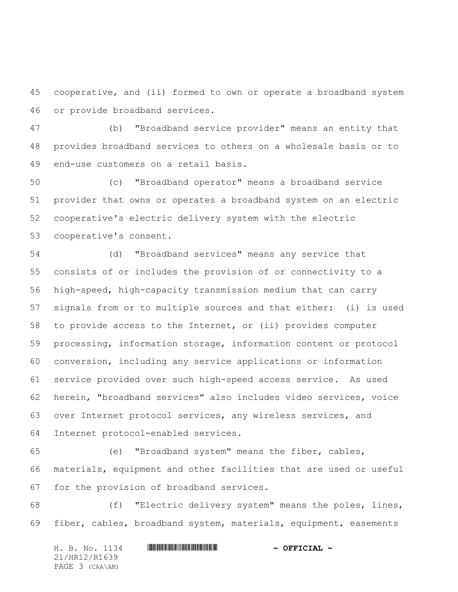cooperative, and (ii) formed to own or operate a broadband system or provide broadband services.

 (b) "Broadband service provider" means an entity that provides broadband services to others on a wholesale basis or to end-use customers on a retail basis.

 (c) "Broadband operator" means a broadband service provider that owns or operates a broadband system on an electric cooperative's electric delivery system with the electric cooperative's consent.

 (d) "Broadband services" means any service that consists of or includes the provision of or connectivity to a high-speed, high-capacity transmission medium that can carry signals from or to multiple sources and that either: (i) is used to provide access to the Internet, or (ii) provides computer processing, information storage, information content or protocol conversion, including any service applications or information service provided over such high-speed access service. As used herein, "broadband services" also includes video services, voice over Internet protocol services, any wireless services, and Internet protocol-enabled services.

 (e) "Broadband system" means the fiber, cables, materials, equipment and other facilities that are used or useful for the provision of broadband services.

 (f) "Electric delivery system" means the poles, lines, fiber, cables, broadband system, materials, equipment, easements

H. B. No. 1134 **HRING AND AND AND AND AND AND ADDRESS AND A OFFICIAL ~** 21/HR12/R1639 PAGE 3 (CAA\AM)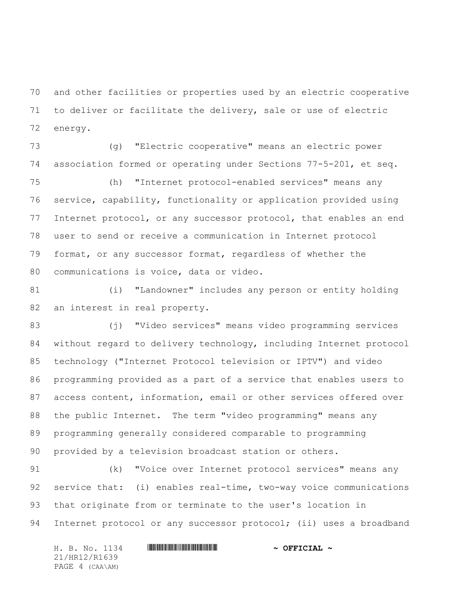and other facilities or properties used by an electric cooperative to deliver or facilitate the delivery, sale or use of electric energy.

 (g) "Electric cooperative" means an electric power association formed or operating under Sections 77-5-201, et seq.

 (h) "Internet protocol-enabled services" means any service, capability, functionality or application provided using Internet protocol, or any successor protocol, that enables an end user to send or receive a communication in Internet protocol format, or any successor format, regardless of whether the communications is voice, data or video.

 (i) "Landowner" includes any person or entity holding an interest in real property.

 (j) "Video services" means video programming services without regard to delivery technology, including Internet protocol technology ("Internet Protocol television or IPTV") and video programming provided as a part of a service that enables users to access content, information, email or other services offered over the public Internet. The term "video programming" means any programming generally considered comparable to programming provided by a television broadcast station or others.

 (k) "Voice over Internet protocol services" means any service that: (i) enables real-time, two-way voice communications that originate from or terminate to the user's location in 94 Internet protocol or any successor protocol; (ii) uses a broadband

H. B. No. 1134 **HRING AND AND AND AND AND AND ADDRESS AND A OFFICIAL ~** 21/HR12/R1639 PAGE 4 (CAA\AM)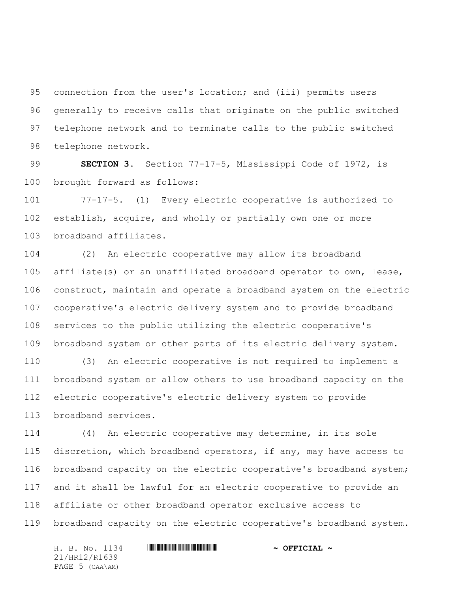connection from the user's location; and (iii) permits users generally to receive calls that originate on the public switched telephone network and to terminate calls to the public switched telephone network.

 **SECTION 3.** Section 77-17-5, Mississippi Code of 1972, is brought forward as follows:

 77-17-5. (1) Every electric cooperative is authorized to establish, acquire, and wholly or partially own one or more broadband affiliates.

 (2) An electric cooperative may allow its broadband affiliate(s) or an unaffiliated broadband operator to own, lease, construct, maintain and operate a broadband system on the electric cooperative's electric delivery system and to provide broadband services to the public utilizing the electric cooperative's broadband system or other parts of its electric delivery system.

 (3) An electric cooperative is not required to implement a broadband system or allow others to use broadband capacity on the electric cooperative's electric delivery system to provide broadband services.

 (4) An electric cooperative may determine, in its sole discretion, which broadband operators, if any, may have access to broadband capacity on the electric cooperative's broadband system; and it shall be lawful for an electric cooperative to provide an affiliate or other broadband operator exclusive access to broadband capacity on the electric cooperative's broadband system.

H. B. No. 1134 **HRING AND AND AND AND AND AND ADDRESS AND A OFFICIAL ~** 21/HR12/R1639 PAGE 5 (CAA\AM)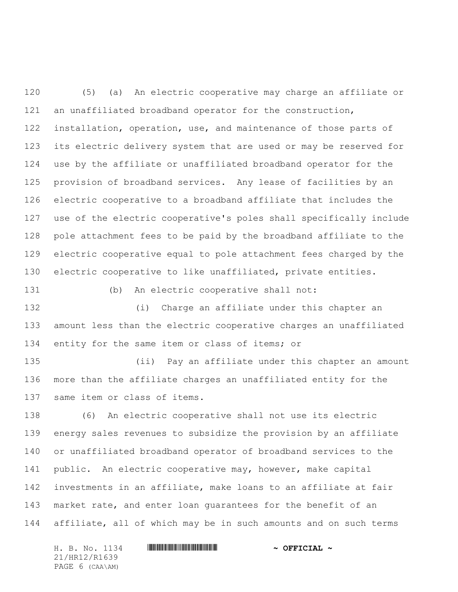(5) (a) An electric cooperative may charge an affiliate or an unaffiliated broadband operator for the construction, installation, operation, use, and maintenance of those parts of its electric delivery system that are used or may be reserved for use by the affiliate or unaffiliated broadband operator for the provision of broadband services. Any lease of facilities by an electric cooperative to a broadband affiliate that includes the use of the electric cooperative's poles shall specifically include pole attachment fees to be paid by the broadband affiliate to the electric cooperative equal to pole attachment fees charged by the electric cooperative to like unaffiliated, private entities.

 (i) Charge an affiliate under this chapter an amount less than the electric cooperative charges an unaffiliated 134 entity for the same item or class of items; or

(b) An electric cooperative shall not:

 (ii) Pay an affiliate under this chapter an amount more than the affiliate charges an unaffiliated entity for the same item or class of items.

 (6) An electric cooperative shall not use its electric energy sales revenues to subsidize the provision by an affiliate or unaffiliated broadband operator of broadband services to the public. An electric cooperative may, however, make capital investments in an affiliate, make loans to an affiliate at fair market rate, and enter loan guarantees for the benefit of an affiliate, all of which may be in such amounts and on such terms

H. B. No. 1134 **HRING AND ALL AND A SEPICIAL ~** 21/HR12/R1639 PAGE 6 (CAA\AM)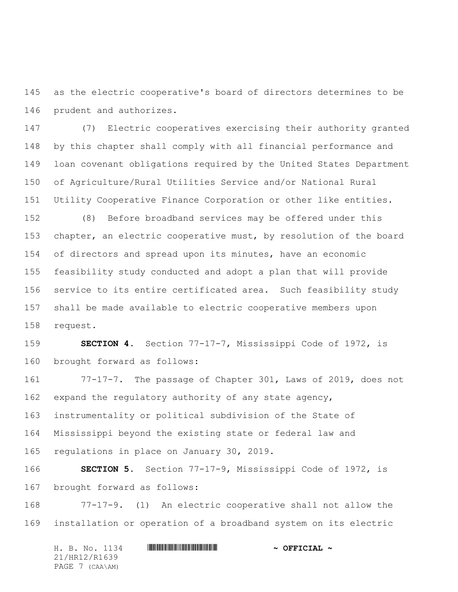as the electric cooperative's board of directors determines to be prudent and authorizes.

 (7) Electric cooperatives exercising their authority granted by this chapter shall comply with all financial performance and loan covenant obligations required by the United States Department of Agriculture/Rural Utilities Service and/or National Rural Utility Cooperative Finance Corporation or other like entities.

 (8) Before broadband services may be offered under this chapter, an electric cooperative must, by resolution of the board of directors and spread upon its minutes, have an economic feasibility study conducted and adopt a plan that will provide service to its entire certificated area. Such feasibility study shall be made available to electric cooperative members upon request.

 **SECTION 4.** Section 77-17-7, Mississippi Code of 1972, is brought forward as follows:

 77-17-7. The passage of Chapter 301, Laws of 2019, does not expand the regulatory authority of any state agency, instrumentality or political subdivision of the State of Mississippi beyond the existing state or federal law and regulations in place on January 30, 2019.

 **SECTION 5.** Section 77-17-9, Mississippi Code of 1972, is brought forward as follows:

 77-17-9. (1) An electric cooperative shall not allow the installation or operation of a broadband system on its electric

H. B. No. 1134 **HRING AND ALL AND A SEPICIAL ~** 21/HR12/R1639 PAGE 7 (CAA\AM)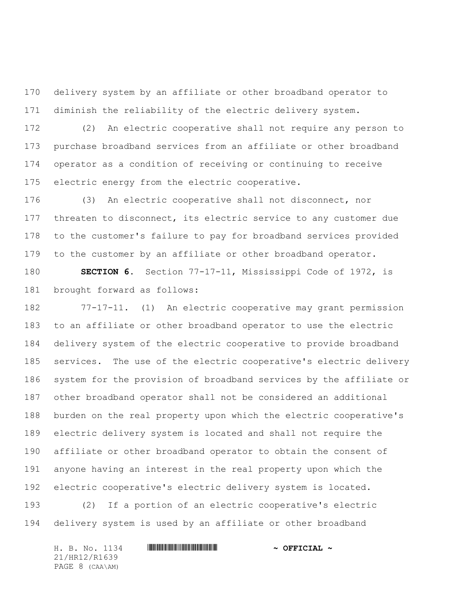delivery system by an affiliate or other broadband operator to diminish the reliability of the electric delivery system.

 (2) An electric cooperative shall not require any person to purchase broadband services from an affiliate or other broadband operator as a condition of receiving or continuing to receive 175 electric energy from the electric cooperative.

 (3) An electric cooperative shall not disconnect, nor 177 threaten to disconnect, its electric service to any customer due to the customer's failure to pay for broadband services provided to the customer by an affiliate or other broadband operator.

 **SECTION 6.** Section 77-17-11, Mississippi Code of 1972, is brought forward as follows:

 77-17-11. (1) An electric cooperative may grant permission to an affiliate or other broadband operator to use the electric delivery system of the electric cooperative to provide broadband services. The use of the electric cooperative's electric delivery system for the provision of broadband services by the affiliate or other broadband operator shall not be considered an additional burden on the real property upon which the electric cooperative's electric delivery system is located and shall not require the affiliate or other broadband operator to obtain the consent of anyone having an interest in the real property upon which the electric cooperative's electric delivery system is located.

 (2) If a portion of an electric cooperative's electric delivery system is used by an affiliate or other broadband

H. B. No. 1134 **HRING AND AND AND AND AND AND ADDRESS AND A OFFICIAL ~** 21/HR12/R1639 PAGE 8 (CAA\AM)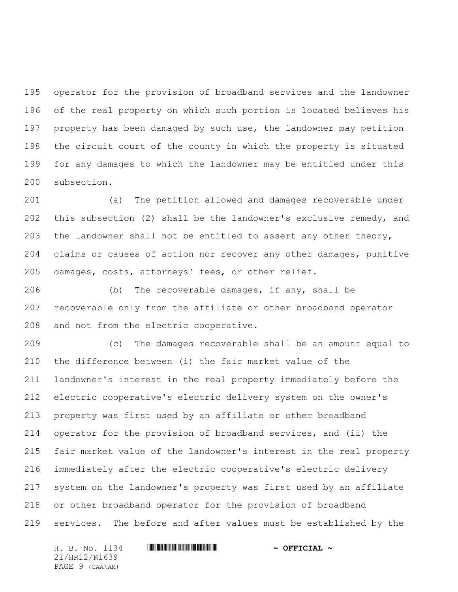operator for the provision of broadband services and the landowner of the real property on which such portion is located believes his property has been damaged by such use, the landowner may petition the circuit court of the county in which the property is situated for any damages to which the landowner may be entitled under this subsection.

 (a) The petition allowed and damages recoverable under this subsection (2) shall be the landowner's exclusive remedy, and the landowner shall not be entitled to assert any other theory, claims or causes of action nor recover any other damages, punitive damages, costs, attorneys' fees, or other relief.

 (b) The recoverable damages, if any, shall be recoverable only from the affiliate or other broadband operator and not from the electric cooperative.

 (c) The damages recoverable shall be an amount equal to the difference between (i) the fair market value of the landowner's interest in the real property immediately before the electric cooperative's electric delivery system on the owner's property was first used by an affiliate or other broadband operator for the provision of broadband services, and (ii) the fair market value of the landowner's interest in the real property immediately after the electric cooperative's electric delivery system on the landowner's property was first used by an affiliate or other broadband operator for the provision of broadband services. The before and after values must be established by the

21/HR12/R1639 PAGE 9 (CAA\AM)

H. B. No. 1134 **HRING AND AND AND AND AND AND ADDRESS AND A OFFICIAL ~**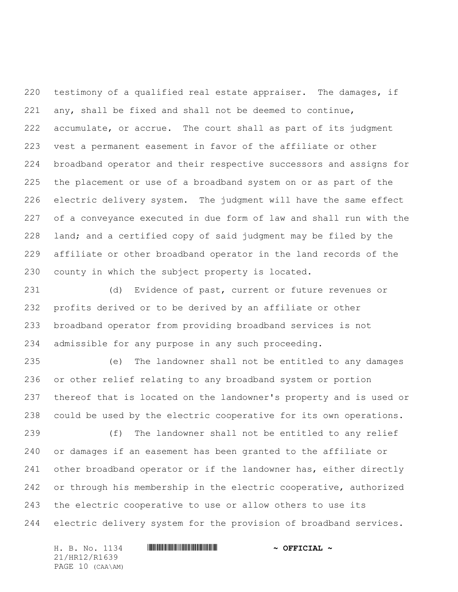testimony of a qualified real estate appraiser. The damages, if any, shall be fixed and shall not be deemed to continue, accumulate, or accrue. The court shall as part of its judgment vest a permanent easement in favor of the affiliate or other broadband operator and their respective successors and assigns for the placement or use of a broadband system on or as part of the electric delivery system. The judgment will have the same effect of a conveyance executed in due form of law and shall run with the land; and a certified copy of said judgment may be filed by the affiliate or other broadband operator in the land records of the county in which the subject property is located.

 (d) Evidence of past, current or future revenues or profits derived or to be derived by an affiliate or other broadband operator from providing broadband services is not admissible for any purpose in any such proceeding.

 (e) The landowner shall not be entitled to any damages or other relief relating to any broadband system or portion thereof that is located on the landowner's property and is used or could be used by the electric cooperative for its own operations.

 (f) The landowner shall not be entitled to any relief or damages if an easement has been granted to the affiliate or other broadband operator or if the landowner has, either directly 242 or through his membership in the electric cooperative, authorized the electric cooperative to use or allow others to use its electric delivery system for the provision of broadband services.

H. B. No. 1134 **HRING AND ALL AND A SEPICIAL ~** 21/HR12/R1639 PAGE 10 (CAA\AM)